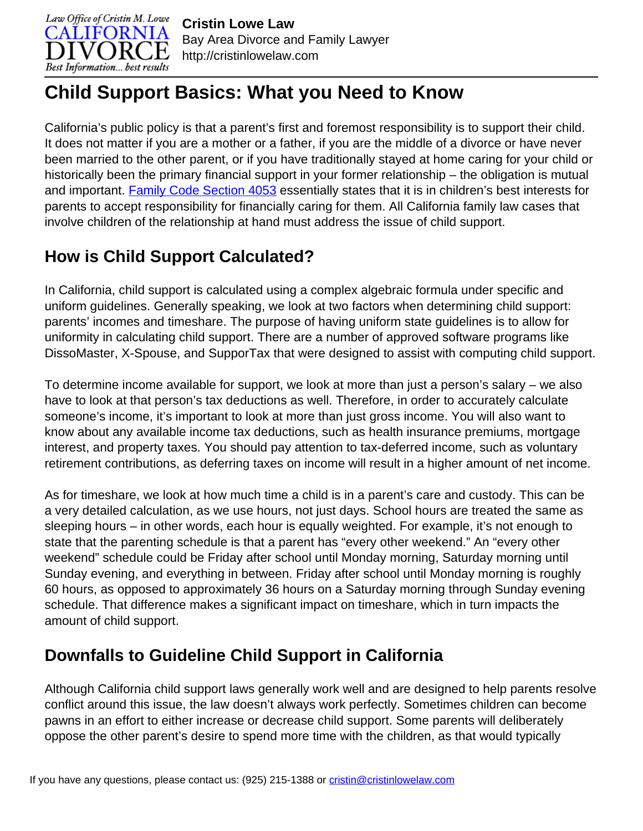

# **Child Support Basics: What you Need to Know**

California's public policy is that a parent's first and foremost responsibility is to support their child. It does not matter if you are a mother or a father, if you are the middle of a divorce or have never been married to the other parent, or if you have traditionally stayed at home caring for your child or historically been the primary financial support in your former relationship – the obligation is mutual and important. [Family Code Section 4053](http://cristinlowelaw.com/practice-areas/child-support/child-support-statutes/#4053) essentially states that it is in children's best interests for parents to accept responsibility for financially caring for them. All California family law cases that involve children of the relationship at hand must address the issue of child support.

# **How is Child Support Calculated?**

In California, child support is calculated using a complex algebraic formula under specific and uniform guidelines. Generally speaking, we look at two factors when determining child support: parents' incomes and timeshare. The purpose of having uniform state guidelines is to allow for uniformity in calculating child support. There are a number of approved software programs like DissoMaster, X-Spouse, and SupporTax that were designed to assist with computing child support.

To determine income available for support, we look at more than just a person's salary – we also have to look at that person's tax deductions as well. Therefore, in order to accurately calculate someone's income, it's important to look at more than just gross income. You will also want to know about any available income tax deductions, such as health insurance premiums, mortgage interest, and property taxes. You should pay attention to tax-deferred income, such as voluntary retirement contributions, as deferring taxes on income will result in a higher amount of net income.

As for timeshare, we look at how much time a child is in a parent's care and custody. This can be a very detailed calculation, as we use hours, not just days. School hours are treated the same as sleeping hours – in other words, each hour is equally weighted. For example, it's not enough to state that the parenting schedule is that a parent has "every other weekend." An "every other weekend" schedule could be Friday after school until Monday morning, Saturday morning until Sunday evening, and everything in between. Friday after school until Monday morning is roughly 60 hours, as opposed to approximately 36 hours on a Saturday morning through Sunday evening schedule. That difference makes a significant impact on timeshare, which in turn impacts the amount of child support.

## **Downfalls to Guideline Child Support in California**

Although California child support laws generally work well and are designed to help parents resolve conflict around this issue, the law doesn't always work perfectly. Sometimes children can become pawns in an effort to either increase or decrease child support. Some parents will deliberately oppose the other parent's desire to spend more time with the children, as that would typically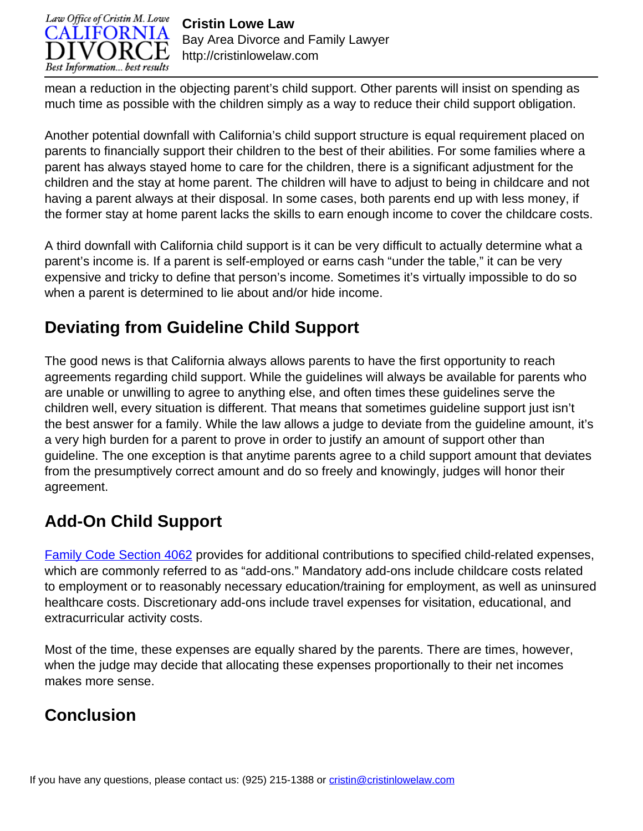

mean a reduction in the objecting parent's child support. Other parents will insist on spending as much time as possible with the children simply as a way to reduce their child support obligation.

Another potential downfall with California's child support structure is equal requirement placed on parents to financially support their children to the best of their abilities. For some families where a parent has always stayed home to care for the children, there is a significant adjustment for the children and the stay at home parent. The children will have to adjust to being in childcare and not having a parent always at their disposal. In some cases, both parents end up with less money, if the former stay at home parent lacks the skills to earn enough income to cover the childcare costs.

A third downfall with California child support is it can be very difficult to actually determine what a parent's income is. If a parent is self-employed or earns cash "under the table," it can be very expensive and tricky to define that person's income. Sometimes it's virtually impossible to do so when a parent is determined to lie about and/or hide income.

# **Deviating from Guideline Child Support**

The good news is that California always allows parents to have the first opportunity to reach agreements regarding child support. While the guidelines will always be available for parents who are unable or unwilling to agree to anything else, and often times these guidelines serve the children well, every situation is different. That means that sometimes guideline support just isn't the best answer for a family. While the law allows a judge to deviate from the guideline amount, it's a very high burden for a parent to prove in order to justify an amount of support other than guideline. The one exception is that anytime parents agree to a child support amount that deviates from the presumptively correct amount and do so freely and knowingly, judges will honor their agreement.

## **Add-On Child Support**

[Family Code Section 4062](http://cristinlowelaw.com/practice-areas/child-support/child-support-statutes/#4062) provides for additional contributions to specified child-related expenses, which are commonly referred to as "add-ons." Mandatory add-ons include childcare costs related to employment or to reasonably necessary education/training for employment, as well as uninsured healthcare costs. Discretionary add-ons include travel expenses for visitation, educational, and extracurricular activity costs.

Most of the time, these expenses are equally shared by the parents. There are times, however, when the judge may decide that allocating these expenses proportionally to their net incomes makes more sense.

## **Conclusion**